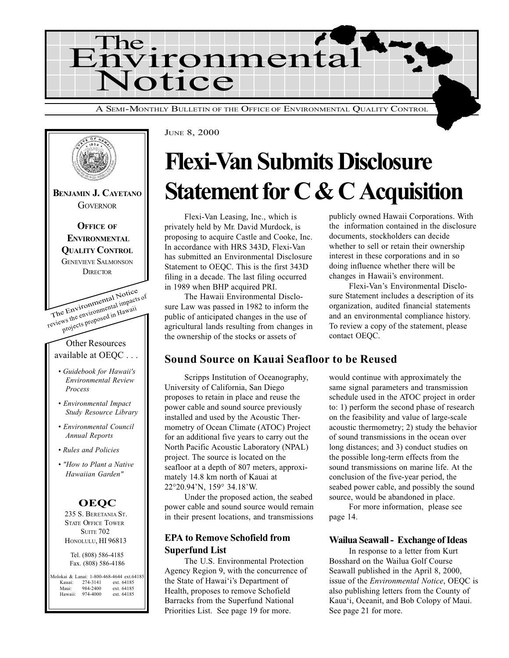

The Environmental Notice reviews the environmental impacts of projects proposed in Hawaii Other Resources available at OEQC . . . Guidebook for Hawaii's Environmental Review Process Environmental Impact Study Resource Library Environmental Council Annual Reports Rules and Policies "How to Plant a Native Hawaiian Garden" BENJAMIN J. CAYETANO **GOVERNOR OFFICE OF ENVIRONMENTAL** QUALITY CONTROL GENEVIEVE SALMONSON **DIRECTOR OEQC** 235 S. BERETANIA ST. STATE OFFICE TOWER **SUITE 702** HONOLULU, HI 96813 Tel. (808) 586-4185 Fax. (808) 586-4186 olokai & Lanai: 1-800-468-4644 ext.64185 Kauai: 274-3141 ext. 64185<br>Maui: 984-2400 ext. 64185 Maui: 984-2400 ext. 64185<br>Hawaii: 974-4000 ext. 64185 ext. 64185

## Flexi-Van Submits Disclosure Statement for C & C Acquisition

Flexi-Van Leasing, Inc., which is privately held by Mr. David Murdock, is proposing to acquire Castle and Cooke, Inc. In accordance with HRS 343D, Flexi-Van has submitted an Environmental Disclosure Statement to OEQC. This is the first 343D filing in a decade. The last filing occurred in 1989 when BHP acquired PRI.

JUNE 8, 2000

The Hawaii Environmental Disclosure Law was passed in 1982 to inform the public of anticipated changes in the use of agricultural lands resulting from changes in the ownership of the stocks or assets of

publicly owned Hawaii Corporations. With the information contained in the disclosure documents, stockholders can decide whether to sell or retain their ownership interest in these corporations and in so doing influence whether there will be changes in Hawaii's environment.

Flexi-Van's Environmental Disclosure Statement includes a description of its organization, audited financial statements and an environmental compliance history. To review a copy of the statement, please contact OEQC.

#### Sound Source on Kauai Seafloor to be Reused

Scripps Institution of Oceanography, University of California, San Diego proposes to retain in place and reuse the power cable and sound source previously installed and used by the Acoustic Thermometry of Ocean Climate (ATOC) Project for an additional five years to carry out the North Pacific Acoustic Laboratory (NPAL) project. The source is located on the seafloor at a depth of 807 meters, approximately 14.8 km north of Kauai at 22°20.94N, 159° 34.18W.

Under the proposed action, the seabed power cable and sound source would remain in their present locations, and transmissions

#### EPA to Remove Schofield from Superfund List

The U.S. Environmental Protection Agency Region 9, with the concurrence of the State of Hawai'i's Department of Health, proposes to remove Schofield Barracks from the Superfund National Priorities List. See page 19 for more.

would continue with approximately the same signal parameters and transmission schedule used in the ATOC project in order to: 1) perform the second phase of research on the feasibility and value of large-scale acoustic thermometry; 2) study the behavior of sound transmissions in the ocean over long distances; and 3) conduct studies on the possible long-term effects from the sound transmissions on marine life. At the conclusion of the five-year period, the seabed power cable, and possibly the sound source, would be abandoned in place.

For more information, please see page 14.

#### Wailua Seawall - Exchange of Ideas

In response to a letter from Kurt Bosshard on the Wailua Golf Course Seawall published in the April 8, 2000, issue of the Environmental Notice, OEQC is also publishing letters from the County of Kaua'i, Oceanit, and Bob Colopy of Maui. See page 21 for more.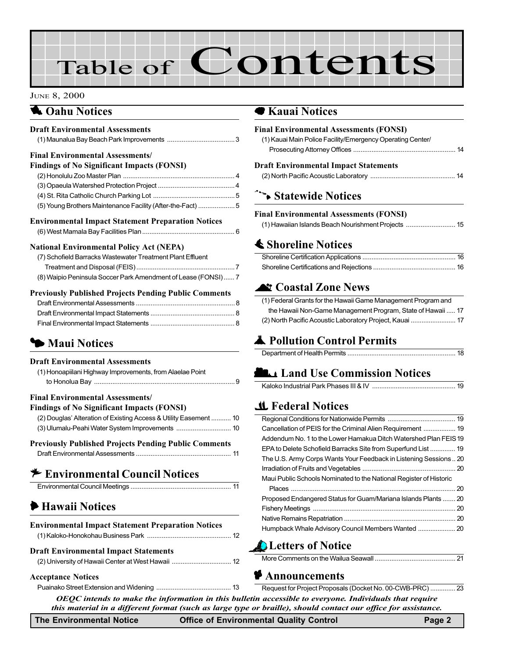# Table of Contents

#### JUNE 8, 2000

### **1 Oahu Notices**

| <b>Draft Environmental Assessments</b>                        |  |
|---------------------------------------------------------------|--|
|                                                               |  |
| <b>Final Environmental Assessments/</b>                       |  |
| <b>Findings of No Significant Impacts (FONSI)</b>             |  |
|                                                               |  |
|                                                               |  |
|                                                               |  |
| (5) Young Brothers Maintenance Facility (After-the-Fact)  5   |  |
| <b>Environmental Impact Statement Preparation Notices</b>     |  |
|                                                               |  |
| <b>National Environmental Policy Act (NEPA)</b>               |  |
| (7) Schofield Barracks Wastewater Treatment Plant Effluent    |  |
|                                                               |  |
| (8) Waipio Peninsula Soccer Park Amendment of Lease (FONSI) 7 |  |
| <b>Previously Published Projects Pending Public Comments</b>  |  |
|                                                               |  |
|                                                               |  |
|                                                               |  |
| • Maui Notices                                                |  |
|                                                               |  |
| <b>Draft Environmental Assessments</b>                        |  |
| (1) Honoapiilani Highway Improvements, from Alaelae Point     |  |
|                                                               |  |
| <b>Final Environmental Assessments/</b>                       |  |
| <b>Findings of No Significant Impacts (FONSI)</b>             |  |

| (2) Douglas' Alteration of Existing Access & Utility Easement  10 |  |
|-------------------------------------------------------------------|--|
|                                                                   |  |

### Previously Published Projects Pending Public Comments

## $*$  Environmental Council Notices

|--|

## 6 Hawaii Notices

| <b>Environmental Impact Statement Preparation Notices</b> |  |  |
|-----------------------------------------------------------|--|--|
|                                                           |  |  |
| <b>Draft Environmental Impact Statements</b>              |  |  |
|                                                           |  |  |

### Acceptance Notices

### 7 Kauai Notices

| <b>Final Environmental Assessments (FONSI)</b>                   |
|------------------------------------------------------------------|
| (1) Kauai Main Police Facility/Emergency Operating Center/       |
|                                                                  |
| <b>Draft Environmental Impact Statements</b>                     |
|                                                                  |
| Statewide Notices                                                |
| <b>Final Environmental Assessments (FONSI)</b>                   |
| (1) Hawaiian Islands Beach Nourishment Projects  15              |
| <b>≰ Shoreline Notices</b>                                       |
|                                                                  |
|                                                                  |
| <b>Nt Coastal Zone News</b>                                      |
| (1) Federal Grants for the Hawaii Game Management Program and    |
| the Hawaii Non-Game Management Program, State of Hawaii  17      |
| (2) North Pacific Acoustic Laboratory Project, Kauai  17         |
| Pollution Control Permits                                        |
|                                                                  |
| <b>LA Land Use Commission Notices</b>                            |
|                                                                  |
|                                                                  |
| <b>L</b> Federal Notices                                         |
|                                                                  |
| Cancellation of PEIS for the Criminal Alien Requirement  19      |
| Addendum No. 1 to the Lower Hamakua Ditch Watershed Plan FEIS 19 |
| EPA to Delete Schofield Barracks Site from Superfund List  19    |
| The U.S. Army Corps Wants Your Feedback in Listening Sessions 20 |

#### Irradiation of Fruits and Vegetables [................................................... 20](#page-19-0) [Maui Public Schools Nominated to the National Register of Historic](#page-19-0) Places .......................................................................................... 20 [Proposed Endangered Status for Guam/Mariana Islands Plants](#page-19-0) ....... 20 Fishery Meetings [.............................................................................. 20](#page-19-0) Native Remains Repatriation [............................................................. 20](#page-19-0) [Humpback Whale Advisory Council Members Wanted ..................... 20](#page-19-0)

### **Letters of Notice**

More Comments on the Wailua Seawall ............................................ 21

#### **P** Announcements

OEQC intends to make the information in this bulletin accessible to everyone. Individuals that require this material in a different format (such as large type or braille), should contact our office for assistance. [Puainako Street Extension and Widening](#page-12-0) ......................................... 13 Request for Project Proposals (Docket No. 00-CWB-PRC) .............. 23

The Environmental Notice **Office of Environmental Quality Control** Page 2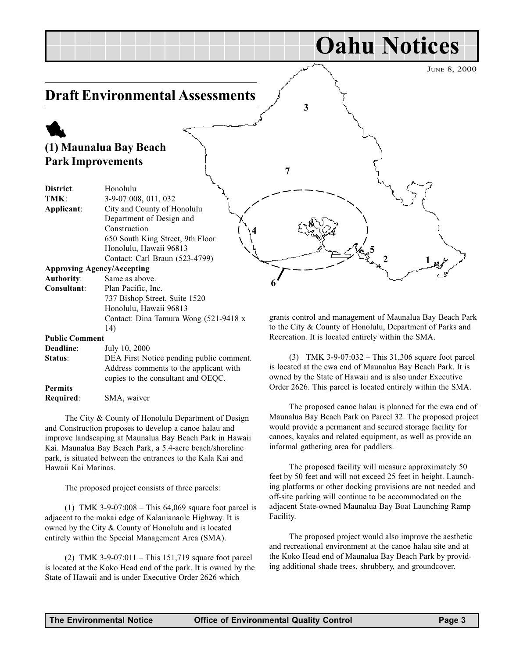<span id="page-2-0"></span>

Public Comment

14)

| Deadline:      | July 10, 2000                            |
|----------------|------------------------------------------|
| Status:        | DEA First Notice pending public comment. |
|                | Address comments to the applicant with   |
|                | copies to the consultant and OEQC.       |
| <b>Permits</b> |                                          |
| Required:      | SMA, waiver                              |

The City & County of Honolulu Department of Design and Construction proposes to develop a canoe halau and improve landscaping at Maunalua Bay Beach Park in Hawaii Kai. Maunalua Bay Beach Park, a 5.4-acre beach/shoreline park, is situated between the entrances to the Kala Kai and Hawaii Kai Marinas.

The proposed project consists of three parcels:

(1) TMK 3-9-07:008 – This  $64,069$  square foot parcel is adjacent to the makai edge of Kalanianaole Highway. It is owned by the City & County of Honolulu and is located entirely within the Special Management Area (SMA).

(2) TMK 3-9-07:011 – This 151,719 square foot parcel is located at the Koko Head end of the park. It is owned by the State of Hawaii and is under Executive Order 2626 which

to the City & County of Honolulu, Department of Parks and Recreation. It is located entirely within the SMA.

(3) TMK  $3-9-07:032$  – This 31,306 square foot parcel is located at the ewa end of Maunalua Bay Beach Park. It is owned by the State of Hawaii and is also under Executive Order 2626. This parcel is located entirely within the SMA.

The proposed canoe halau is planned for the ewa end of Maunalua Bay Beach Park on Parcel 32. The proposed project would provide a permanent and secured storage facility for canoes, kayaks and related equipment, as well as provide an informal gathering area for paddlers.

The proposed facility will measure approximately 50 feet by 50 feet and will not exceed 25 feet in height. Launching platforms or other docking provisions are not needed and off-site parking will continue to be accommodated on the adjacent State-owned Maunalua Bay Boat Launching Ramp Facility.

The proposed project would also improve the aesthetic and recreational environment at the canoe halau site and at the Koko Head end of Maunalua Bay Beach Park by providing additional shade trees, shrubbery, and groundcover.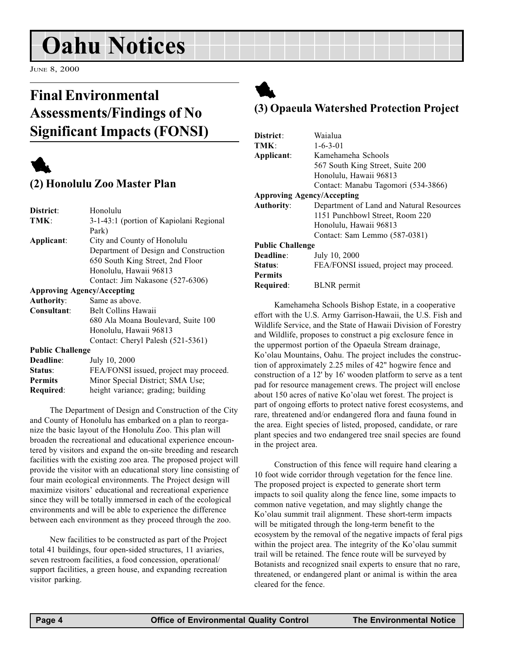## <span id="page-3-0"></span>Oahu Notices

JUNE 8, 2000

## Final Environmental Assessments/Findings of No Significant Impacts (FONSI)



## (2) Honolulu Zoo Master Plan

| District:                         | Honolulu                                |  |
|-----------------------------------|-----------------------------------------|--|
| TMK:                              | 3-1-43:1 (portion of Kapiolani Regional |  |
|                                   | Park)                                   |  |
| Applicant:                        | City and County of Honolulu             |  |
|                                   | Department of Design and Construction   |  |
|                                   | 650 South King Street, 2nd Floor        |  |
|                                   | Honolulu, Hawaii 96813                  |  |
|                                   | Contact: Jim Nakasone (527-6306)        |  |
| <b>Approving Agency/Accepting</b> |                                         |  |
| <b>Authority:</b>                 | Same as above.                          |  |
| Consultant:                       | Belt Collins Hawaii                     |  |
|                                   | 680 Ala Moana Boulevard, Suite 100      |  |
|                                   | Honolulu, Hawaii 96813                  |  |
|                                   | Contact: Cheryl Palesh (521-5361)       |  |
| <b>Public Challenge</b>           |                                         |  |
| Deadline:                         | July 10, 2000                           |  |
| Status:                           | FEA/FONSI issued, project may proceed.  |  |
| <b>Permits</b>                    | Minor Special District; SMA Use;        |  |
| Required:                         | height variance; grading; building      |  |

The Department of Design and Construction of the City and County of Honolulu has embarked on a plan to reorganize the basic layout of the Honolulu Zoo. This plan will broaden the recreational and educational experience encountered by visitors and expand the on-site breeding and research facilities with the existing zoo area. The proposed project will provide the visitor with an educational story line consisting of four main ecological environments. The Project design will maximize visitors' educational and recreational experience since they will be totally immersed in each of the ecological environments and will be able to experience the difference between each environment as they proceed through the zoo.

New facilities to be constructed as part of the Project total 41 buildings, four open-sided structures, 11 aviaries, seven restroom facilities, a food concession, operational/ support facilities, a green house, and expanding recreation visitor parking.

## 1 (3) Opaeula Watershed Protection Project

| District:                         | Waialua                                  |  |
|-----------------------------------|------------------------------------------|--|
| TMK:                              | $1 - 6 - 3 - 01$                         |  |
| Applicant:                        | Kamehameha Schools                       |  |
|                                   | 567 South King Street, Suite 200         |  |
|                                   | Honolulu, Hawaii 96813                   |  |
|                                   | Contact: Manabu Tagomori (534-3866)      |  |
| <b>Approving Agency/Accepting</b> |                                          |  |
| <b>Authority:</b>                 | Department of Land and Natural Resources |  |
|                                   | 1151 Punchbowl Street, Room 220          |  |
|                                   | Honolulu, Hawaii 96813                   |  |
|                                   | Contact: Sam Lemmo (587-0381)            |  |
| <b>Public Challenge</b>           |                                          |  |
| Deadline:                         | July 10, 2000                            |  |
| Status:                           | FEA/FONSI issued, project may proceed.   |  |
| <b>Permits</b>                    |                                          |  |
| Required:                         | <b>BLNR</b> permit                       |  |

Kamehameha Schools Bishop Estate, in a cooperative effort with the U.S. Army Garrison-Hawaii, the U.S. Fish and Wildlife Service, and the State of Hawaii Division of Forestry and Wildlife, proposes to construct a pig exclosure fence in the uppermost portion of the Opaeula Stream drainage, Ko'olau Mountains, Oahu. The project includes the construction of approximately 2.25 miles of 42" hogwire fence and construction of a 12' by 16' wooden platform to serve as a tent pad for resource management crews. The project will enclose about 150 acres of native Ko'olau wet forest. The project is part of ongoing efforts to protect native forest ecosystems, and rare, threatened and/or endangered flora and fauna found in the area. Eight species of listed, proposed, candidate, or rare plant species and two endangered tree snail species are found in the project area.

Construction of this fence will require hand clearing a 10 foot wide corridor through vegetation for the fence line. The proposed project is expected to generate short term impacts to soil quality along the fence line, some impacts to common native vegetation, and may slightly change the Ko'olau summit trail alignment. These short-term impacts will be mitigated through the long-term benefit to the ecosystem by the removal of the negative impacts of feral pigs within the project area. The integrity of the Ko'olau summit trail will be retained. The fence route will be surveyed by Botanists and recognized snail experts to ensure that no rare, threatened, or endangered plant or animal is within the area cleared for the fence.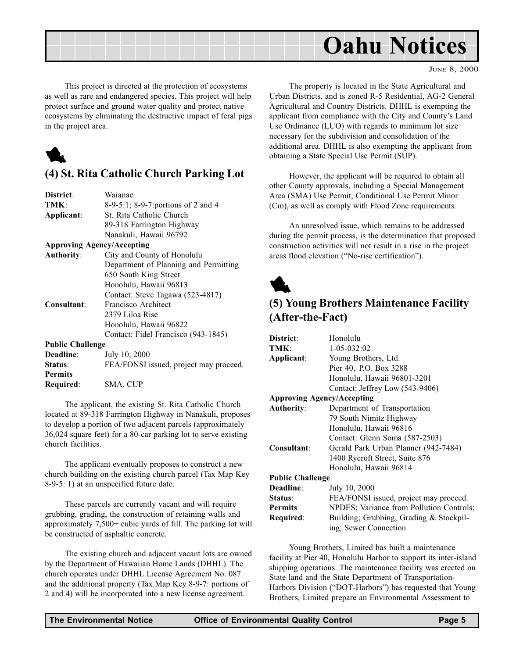<span id="page-4-0"></span>

JUNE 8, 2000

This project is directed at the protection of ecosystems as well as rare and endangered species. This project will help protect surface and ground water quality and protect native ecosystems by eliminating the destructive impact of feral pigs in the project area.



### (4) St. Rita Catholic Church Parking Lot

| District:               | Waianae                                |
|-------------------------|----------------------------------------|
| TMK:                    | 8-9-5:1; 8-9-7: portions of 2 and 4    |
| Applicant:              | St. Rita Catholic Church               |
|                         | 89-318 Farrington Highway              |
|                         | Nanakuli, Hawaii 96792                 |
|                         | <b>Approving Agency/Accepting</b>      |
| <b>Authority:</b>       | City and County of Honolulu            |
|                         | Department of Planning and Permitting  |
|                         | 650 South King Street                  |
|                         | Honolulu, Hawaii 96813                 |
|                         | Contact: Steve Tagawa (523-4817)       |
| Consultant:             | Francisco Architect                    |
|                         | 2379 Liloa Rise                        |
|                         | Honolulu, Hawaii 96822                 |
|                         | Contact: Fidel Francisco (943-1845)    |
| <b>Public Challenge</b> |                                        |
| Deadline:               | July 10, 2000                          |
| Status:                 | FEA/FONSI issued, project may proceed. |
| <b>Permits</b>          |                                        |
| Required:               | SMA, CUP                               |
|                         |                                        |

The applicant, the existing St. Rita Catholic Church located at 89-318 Farrington Highway in Nanakuli, proposes to develop a portion of two adjacent parcels (approximately 36,024 square feet) for a 80-car parking lot to serve existing church facilities.

The applicant eventually proposes to construct a new church building on the existing church parcel (Tax Map Key 8-9-5: 1) at an unspecified future date.

These parcels are currently vacant and will require grubbing, grading, the construction of retaining walls and approximately 7,500+ cubic yards of fill. The parking lot will be constructed of asphaltic concrete.

The existing church and adjacent vacant lots are owned by the Department of Hawaiian Home Lands (DHHL). The church operates under DHHL License Agreement No. 087 and the additional property (Tax Map Key 8-9-7: portions of 2 and 4) will be incorporated into a new license agreement.

The property is located in the State Agricultural and Urban Districts, and is zoned R-5 Residential, AG-2 General Agricultural and Country Districts. DHHL is exempting the applicant from compliance with the City and County's Land Use Ordinance (LUO) with regards to minimum lot size necessary for the subdivision and consolidation of the additional area. DHHL is also exempting the applicant from obtaining a State Special Use Permit (SUP).

However, the applicant will be required to obtain all other County approvals, including a Special Management Area (SMA) Use Permit, Conditional Use Permit Minor (Cm), as well as comply with Flood Zone requirements.

An unresolved issue, which remains to be addressed during the permit process, is the determination that proposed construction activities will not result in a rise in the project areas flood elevation ("No-rise certification").



## (5) Young Brothers Maintenance Facility (After-the-Fact)

| District:               | Honolulu                                 |
|-------------------------|------------------------------------------|
| TMK:                    | $1 - 05 - 032:02$                        |
| Applicant:              | Young Brothers, Ltd.                     |
|                         | Pier 40, P.O. Box 3288                   |
|                         | Honolulu, Hawaii 96801-3201              |
|                         | Contact: Jeffrey Low (543-9406)          |
|                         | <b>Approving Agency/Accepting</b>        |
| <b>Authority:</b>       | Department of Transportation             |
|                         | 79 South Nimitz Highway                  |
|                         | Honolulu, Hawaii 96816                   |
|                         | Contact: Glenn Soma (587-2503)           |
| Consultant:             | Gerald Park Urban Planner (942-7484)     |
|                         | 1400 Rycroft Street, Suite 876           |
|                         | Honolulu, Hawaii 96814                   |
| <b>Public Challenge</b> |                                          |
| Deadline:               | July 10, 2000                            |
| Status:                 | FEA/FONSI issued, project may proceed.   |
| <b>Permits</b>          | NPDES; Variance from Pollution Controls; |
| Required:               | Building; Grubbing, Grading & Stockpil-  |
|                         | ing; Sewer Connection                    |
|                         |                                          |

Young Brothers, Limited has built a maintenance facility at Pier 40, Honolulu Harbor to support its inter-island shipping operations. The maintenance facility was erected on State land and the State Department of Transportation-Harbors Division ("DOT-Harbors") has requested that Young Brothers, Limited prepare an Environmental Assessment to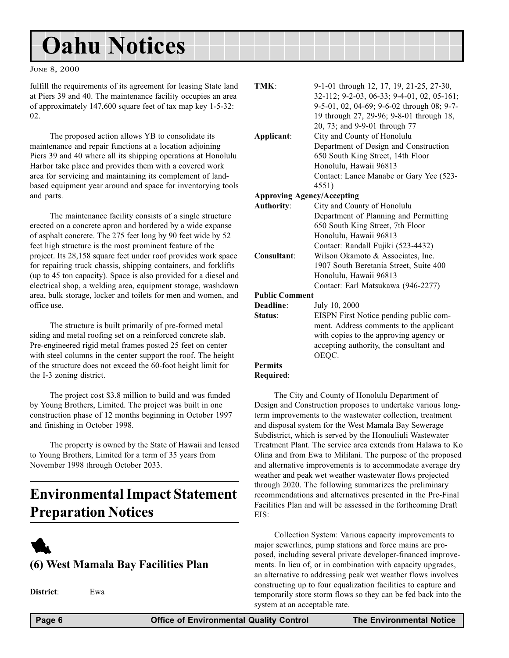## <span id="page-5-0"></span>Oahu Notices

#### JUNE 8, 2000

fulfill the requirements of its agreement for leasing State land at Piers 39 and 40. The maintenance facility occupies an area of approximately 147,600 square feet of tax map key 1-5-32: 02.

The proposed action allows YB to consolidate its maintenance and repair functions at a location adjoining Piers 39 and 40 where all its shipping operations at Honolulu Harbor take place and provides them with a covered work area for servicing and maintaining its complement of landbased equipment year around and space for inventorying tools and parts.

The maintenance facility consists of a single structure erected on a concrete apron and bordered by a wide expanse of asphalt concrete. The 275 feet long by 90 feet wide by 52 feet high structure is the most prominent feature of the project. Its 28,158 square feet under roof provides work space for repairing truck chassis, shipping containers, and forklifts (up to 45 ton capacity). Space is also provided for a diesel and electrical shop, a welding area, equipment storage, washdown area, bulk storage, locker and toilets for men and women, and office use.

The structure is built primarily of pre-formed metal siding and metal roofing set on a reinforced concrete slab. Pre-engineered rigid metal frames posted 25 feet on center with steel columns in the center support the roof. The height of the structure does not exceed the 60-foot height limit for the I-3 zoning district.

The project cost \$3.8 million to build and was funded by Young Brothers, Limited. The project was built in one construction phase of 12 months beginning in October 1997 and finishing in October 1998.

The property is owned by the State of Hawaii and leased to Young Brothers, Limited for a term of 35 years from November 1998 through October 2033.

## Environmental Impact Statement Preparation Notices



### (6) West Mamala Bay Facilities Plan

District: Ewa

| TMK:                              | 9-1-01 through 12, 17, 19, 21-25, 27-30,   |
|-----------------------------------|--------------------------------------------|
|                                   | 32-112; 9-2-03, 06-33; 9-4-01, 02, 05-161; |
|                                   | 9-5-01, 02, 04-69; 9-6-02 through 08; 9-7- |
|                                   | 19 through 27, 29-96; 9-8-01 through 18,   |
|                                   | 20, 73; and 9-9-01 through 77              |
| Applicant:                        | City and County of Honolulu                |
|                                   | Department of Design and Construction      |
|                                   | 650 South King Street, 14th Floor          |
|                                   | Honolulu, Hawaii 96813                     |
|                                   | Contact: Lance Manabe or Gary Yee (523-    |
|                                   | 4551)                                      |
| <b>Approving Agency/Accepting</b> |                                            |
| <b>Authority:</b>                 | City and County of Honolulu                |
|                                   | Department of Planning and Permitting      |
|                                   | 650 South King Street, 7th Floor           |
|                                   | Honolulu, Hawaii 96813                     |
|                                   | Contact: Randall Fujiki (523-4432)         |
| Consultant:                       | Wilson Okamoto & Associates, Inc.          |
|                                   | 1907 South Beretania Street, Suite 400     |
|                                   | Honolulu, Hawaii 96813                     |
|                                   | Contact: Earl Matsukawa (946-2277)         |
| <b>Public Comment</b>             |                                            |
| Deadline:                         | July 10, 2000                              |
| Status:                           | EISPN First Notice pending public com-     |
|                                   | ment. Address comments to the applicant    |
|                                   | with copies to the approving agency or     |
|                                   | accepting authority, the consultant and    |

OEQC.

#### Permits Required:

The City and County of Honolulu Department of Design and Construction proposes to undertake various longterm improvements to the wastewater collection, treatment and disposal system for the West Mamala Bay Sewerage Subdistrict, which is served by the Honouliuli Wastewater Treatment Plant. The service area extends from Halawa to Ko Olina and from Ewa to Mililani. The purpose of the proposed and alternative improvements is to accommodate average dry weather and peak wet weather wastewater flows projected through 2020. The following summarizes the preliminary recommendations and alternatives presented in the Pre-Final Facilities Plan and will be assessed in the forthcoming Draft EIS:

Collection System: Various capacity improvements to major sewerlines, pump stations and force mains are proposed, including several private developer-financed improvements. In lieu of, or in combination with capacity upgrades, an alternative to addressing peak wet weather flows involves constructing up to four equalization facilities to capture and temporarily store storm flows so they can be fed back into the system at an acceptable rate.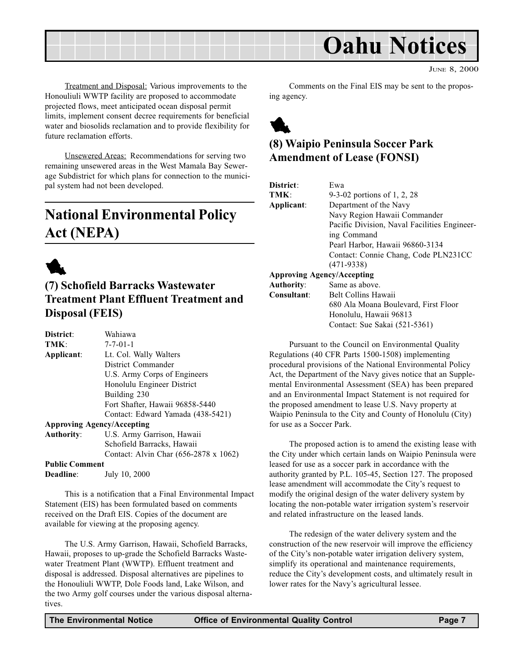<span id="page-6-0"></span>

JUNE 8, 2000

Treatment and Disposal: Various improvements to the Honouliuli WWTP facility are proposed to accommodate projected flows, meet anticipated ocean disposal permit limits, implement consent decree requirements for beneficial water and biosolids reclamation and to provide flexibility for future reclamation efforts.

Unsewered Areas: Recommendations for serving two remaining unsewered areas in the West Mamala Bay Sewerage Subdistrict for which plans for connection to the municipal system had not been developed.

## National Environmental Policy Act (NEPA)



## (7) Schofield Barracks Wastewater Treatment Plant Effluent Treatment and Disposal (FEIS)

| District:             | Wahiawa                               |
|-----------------------|---------------------------------------|
| TMK:                  | $7 - 7 - 01 - 1$                      |
| Applicant:            | Lt. Col. Wally Walters                |
|                       | District Commander                    |
|                       | U.S. Army Corps of Engineers          |
|                       | Honolulu Engineer District            |
|                       | Building 230                          |
|                       | Fort Shafter, Hawaii 96858-5440       |
|                       | Contact: Edward Yamada (438-5421)     |
|                       | <b>Approving Agency/Accepting</b>     |
| <b>Authority:</b>     | U.S. Army Garrison, Hawaii            |
|                       | Schofield Barracks, Hawaii            |
|                       | Contact: Alvin Char (656-2878 x 1062) |
| <b>Public Comment</b> |                                       |
| <b>Deadline:</b>      | July 10, 2000                         |
|                       |                                       |

This is a notification that a Final Environmental Impact Statement (EIS) has been formulated based on comments received on the Draft EIS. Copies of the document are available for viewing at the proposing agency.

The U.S. Army Garrison, Hawaii, Schofield Barracks, Hawaii, proposes to up-grade the Schofield Barracks Wastewater Treatment Plant (WWTP). Effluent treatment and disposal is addressed. Disposal alternatives are pipelines to the Honouliuli WWTP, Dole Foods land, Lake Wilson, and the two Army golf courses under the various disposal alternatives.

Comments on the Final EIS may be sent to the proposing agency.



## (8) Waipio Peninsula Soccer Park Amendment of Lease (FONSI)

| District:         | Ewa                                          |
|-------------------|----------------------------------------------|
| TMK:              | 9-3-02 portions of 1, 2, 28                  |
| Applicant:        | Department of the Navy                       |
|                   | Navy Region Hawaii Commander                 |
|                   | Pacific Division, Naval Facilities Engineer- |
|                   | ing Command                                  |
|                   | Pearl Harbor, Hawaii 96860-3134              |
|                   | Contact: Connie Chang, Code PLN231CC         |
|                   | $(471-9338)$                                 |
|                   | <b>Approving Agency/Accepting</b>            |
| <b>Authority:</b> | Same as above.                               |
| Consultant:       | <b>Belt Collins Hawaii</b>                   |
|                   | 680 Ala Moana Boulevard, First Floor         |
|                   | Honolulu, Hawaii 96813                       |
|                   | Contact: Sue Sakai (521-5361)                |
|                   |                                              |

Pursuant to the Council on Environmental Quality Regulations (40 CFR Parts 1500-1508) implementing procedural provisions of the National Environmental Policy Act, the Department of the Navy gives notice that an Supplemental Environmental Assessment (SEA) has been prepared and an Environmental Impact Statement is not required for the proposed amendment to lease U.S. Navy property at Waipio Peninsula to the City and County of Honolulu (City) for use as a Soccer Park.

The proposed action is to amend the existing lease with the City under which certain lands on Waipio Peninsula were leased for use as a soccer park in accordance with the authority granted by P.L. 105-45, Section 127. The proposed lease amendment will accommodate the City's request to modify the original design of the water delivery system by locating the non-potable water irrigation system's reservoir and related infrastructure on the leased lands.

The redesign of the water delivery system and the construction of the new reservoir will improve the efficiency of the City's non-potable water irrigation delivery system, simplify its operational and maintenance requirements, reduce the City's development costs, and ultimately result in lower rates for the Navy's agricultural lessee.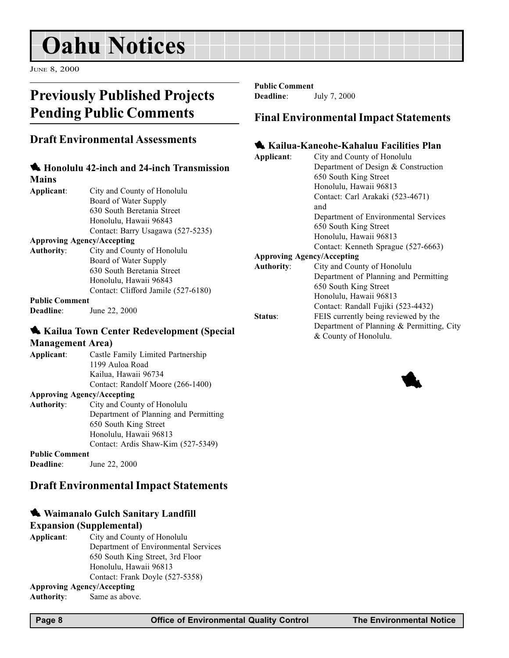## <span id="page-7-0"></span>Oahu Notices

JUNE 8, 2000

## Previously Published Projects Pending Public Comments

### Draft Environmental Assessments

|                                   | <b>K</b> Honolulu 42-inch and 24-inch Transmission |
|-----------------------------------|----------------------------------------------------|
| <b>Mains</b>                      |                                                    |
| Applicant:                        | City and County of Honolulu                        |
|                                   | Board of Water Supply                              |
|                                   | 630 South Beretania Street                         |
|                                   | Honolulu, Hawaii 96843                             |
|                                   | Contact: Barry Usagawa (527-5235)                  |
| <b>Approving Agency/Accepting</b> |                                                    |
| <b>Authority:</b>                 | City and County of Honolulu                        |
|                                   | Board of Water Supply                              |
|                                   | 630 South Beretania Street                         |
|                                   | Honolulu, Hawaii 96843                             |
|                                   | Contact: Clifford Jamile (527-6180)                |
| <b>Public Comment</b>             |                                                    |
| Deadline:                         | June 22, 2000                                      |

#### **1. Kailua Town Center Redevelopment (Special**

Management Area) Applicant: Castle Family Limited Partnership 1199 Auloa Road Kailua, Hawaii 96734 Contact: Randolf Moore (266-1400) Approving Agency/Accepting Authority: City and County of Honolulu Department of Planning and Permitting 650 South King Street Honolulu, Hawaii 96813 Contact: Ardis Shaw-Kim (527-5349) Public Comment Deadline: June 22, 2000

### Draft Environmental Impact Statements

#### **4** Waimanalo Gulch Sanitary Landfill

#### Expansion (Supplemental)

Applicant: City and County of Honolulu Department of Environmental Services 650 South King Street, 3rd Floor Honolulu, Hawaii 96813 Contact: Frank Doyle (527-5358) Approving Agency/Accepting

Authority: Same as above.

Public Comment Deadline: July 7, 2000

### Final Environmental Impact Statements

#### 1 Kailua-Kaneohe-Kahaluu Facilities Plan

| City and County of Honolulu               |
|-------------------------------------------|
| Department of Design & Construction       |
| 650 South King Street                     |
| Honolulu, Hawaii 96813                    |
| Contact: Carl Arakaki (523-4671)          |
| and                                       |
| Department of Environmental Services      |
| 650 South King Street                     |
| Honolulu, Hawaii 96813                    |
| Contact: Kenneth Sprague (527-6663)       |
| <b>Approving Agency/Accepting</b>         |
| City and County of Honolulu               |
| Department of Planning and Permitting     |
| 650 South King Street                     |
| Honolulu, Hawaii 96813                    |
| Contact: Randall Fujiki (523-4432)        |
| FEIS currently being reviewed by the      |
| Department of Planning & Permitting, City |
| & County of Honolulu.                     |
|                                           |

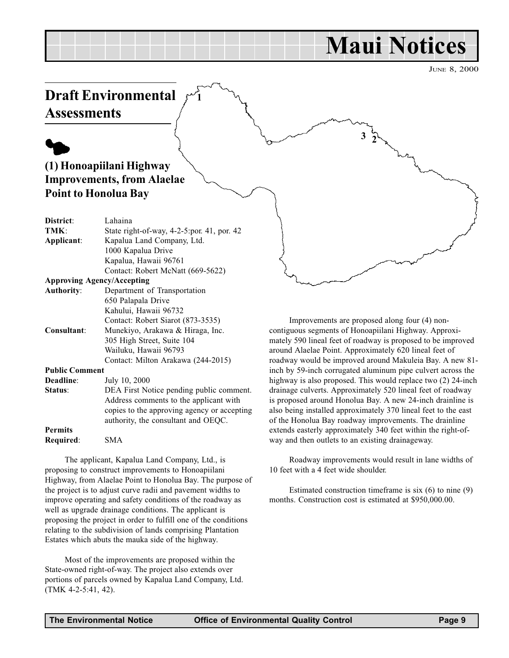## Maui Notices

3

JUNE 8, 2000

## <span id="page-8-0"></span>Draft Environmental **Assessments**

## $\blacklozenge$ (1) Honoapiilani Highway Improvements, from Alaelae Point to Honolua Bay

| District:                         | Lahaina                                       |
|-----------------------------------|-----------------------------------------------|
| TMK:                              | State right-of-way, $4-2-5$ :por. 41, por. 42 |
| Applicant:                        | Kapalua Land Company, Ltd.                    |
|                                   | 1000 Kapalua Drive                            |
|                                   | Kapalua, Hawaii 96761                         |
|                                   | Contact: Robert McNatt (669-5622)             |
| <b>Approving Agency/Accepting</b> |                                               |
| <b>Authority:</b>                 | Department of Transportation                  |
|                                   | 650 Palapala Drive                            |
|                                   | Kahului, Hawaii 96732                         |
|                                   | Contact: Robert Siarot (873-3535)             |
| Consultant:                       | Munekiyo, Arakawa & Hiraga, Inc.              |
|                                   | 305 High Street, Suite 104                    |
|                                   | Wailuku, Hawaii 96793                         |
|                                   | Contact: Milton Arakawa (244-2015)            |
| <b>Public Comment</b>             |                                               |
| Deadline:                         | July 10, 2000                                 |
| Status:                           | DEA First Notice pending public comment.      |
|                                   | Address comments to the applicant with        |

#### Permits Required: SMA

The applicant, Kapalua Land Company, Ltd., is proposing to construct improvements to Honoapiilani Highway, from Alaelae Point to Honolua Bay. The purpose of the project is to adjust curve radii and pavement widths to improve operating and safety conditions of the roadway as well as upgrade drainage conditions. The applicant is proposing the project in order to fulfill one of the conditions relating to the subdivision of lands comprising Plantation Estates which abuts the mauka side of the highway.

copies to the approving agency or accepting authority, the consultant and OEQC.

1

Most of the improvements are proposed within the State-owned right-of-way. The project also extends over portions of parcels owned by Kapalua Land Company, Ltd. (TMK 4-2-5:41, 42).

Improvements are proposed along four (4) noncontiguous segments of Honoapiilani Highway. Approximately 590 lineal feet of roadway is proposed to be improved around Alaelae Point. Approximately 620 lineal feet of roadway would be improved around Makuleia Bay. A new 81 inch by 59-inch corrugated aluminum pipe culvert across the highway is also proposed. This would replace two  $(2)$  24-inch drainage culverts. Approximately 520 lineal feet of roadway is proposed around Honolua Bay. A new 24-inch drainline is also being installed approximately 370 lineal feet to the east of the Honolua Bay roadway improvements. The drainline extends easterly approximately 340 feet within the right-ofway and then outlets to an existing drainageway.

Roadway improvements would result in lane widths of 10 feet with a 4 feet wide shoulder.

Estimated construction timeframe is six (6) to nine (9) months. Construction cost is estimated at \$950,000.00.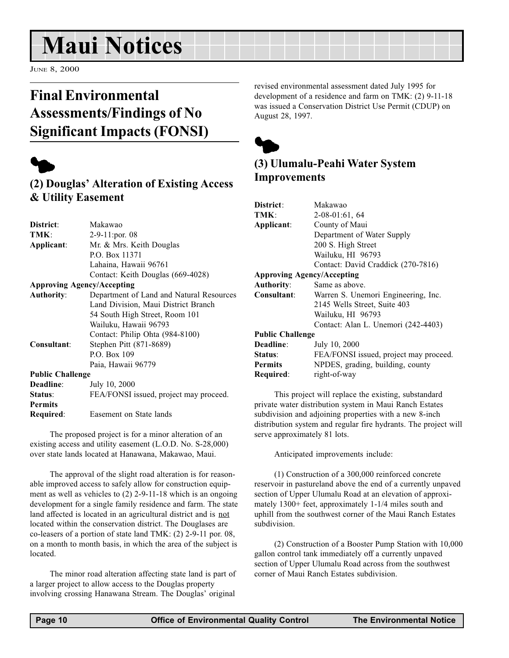## <span id="page-9-0"></span>Maui Notices

JUNE 8, 2000

## Final Environmental Assessments/Findings of No Significant Impacts (FONSI)



## (2) Douglas' Alteration of Existing Access & Utility Easement

| District:               | Makawao                                  |
|-------------------------|------------------------------------------|
| TMK:                    | $2-9-11$ : por. 08                       |
| Applicant:              | Mr. & Mrs. Keith Douglas                 |
|                         | P.O. Box 11371                           |
|                         | Lahaina, Hawaii 96761                    |
|                         | Contact: Keith Douglas (669-4028)        |
|                         | <b>Approving Agency/Accepting</b>        |
| <b>Authority:</b>       | Department of Land and Natural Resources |
|                         | Land Division, Maui District Branch      |
|                         | 54 South High Street, Room 101           |
|                         | Wailuku, Hawaii 96793                    |
|                         | Contact: Philip Ohta (984-8100)          |
| Consultant:             | Stephen Pitt (871-8689)                  |
|                         | $P_{\cdot}$ $O_{\cdot}$ Rox 109          |
|                         | Paia, Hawaii 96779                       |
| <b>Public Challenge</b> |                                          |
| Deadline:               | July 10, 2000                            |
| Status:                 | FEA/FONSI issued, project may proceed.   |
| Permits                 |                                          |

Required: Easement on State lands

The proposed project is for a minor alteration of an existing access and utility easement (L.O.D. No. S-28,000) over state lands located at Hanawana, Makawao, Maui.

The approval of the slight road alteration is for reasonable improved access to safely allow for construction equipment as well as vehicles to (2) 2-9-11-18 which is an ongoing development for a single family residence and farm. The state land affected is located in an agricultural district and is not located within the conservation district. The Douglases are co-leasers of a portion of state land TMK: (2) 2-9-11 por. 08, on a month to month basis, in which the area of the subject is located.

The minor road alteration affecting state land is part of a larger project to allow access to the Douglas property involving crossing Hanawana Stream. The Douglas' original

revised environmental assessment dated July 1995 for development of a residence and farm on TMK: (2) 9-11-18 was issued a Conservation District Use Permit (CDUP) on August 28, 1997.



## (3) Ulumalu-Peahi Water System Improvements

| District:               | Makawao                                |
|-------------------------|----------------------------------------|
| TMK:                    | $2-08-01:61, 64$                       |
| Applicant:              | County of Maui                         |
|                         | Department of Water Supply             |
|                         | 200 S. High Street                     |
|                         | Wailuku, HI 96793                      |
|                         | Contact: David Craddick (270-7816)     |
|                         | <b>Approving Agency/Accepting</b>      |
| <b>Authority:</b>       | Same as above.                         |
| Consultant:             | Warren S. Unemori Engineering, Inc.    |
|                         | 2145 Wells Street, Suite 403           |
|                         | Wailuku, HI 96793                      |
|                         | Contact: Alan L. Unemori (242-4403)    |
| <b>Public Challenge</b> |                                        |
| Deadline:               | July 10, 2000                          |
| Status:                 | FEA/FONSI issued, project may proceed. |
| <b>Permits</b>          | NPDES, grading, building, county       |
| Required:               | right-of-way                           |

This project will replace the existing, substandard private water distribution system in Maui Ranch Estates subdivision and adjoining properties with a new 8-inch distribution system and regular fire hydrants. The project will serve approximately 81 lots.

Anticipated improvements include:

(1) Construction of a 300,000 reinforced concrete reservoir in pastureland above the end of a currently unpaved section of Upper Ulumalu Road at an elevation of approximately 1300+ feet, approximately 1-1/4 miles south and uphill from the southwest corner of the Maui Ranch Estates subdivision.

(2) Construction of a Booster Pump Station with 10,000 gallon control tank immediately off a currently unpaved section of Upper Ulumalu Road across from the southwest corner of Maui Ranch Estates subdivision.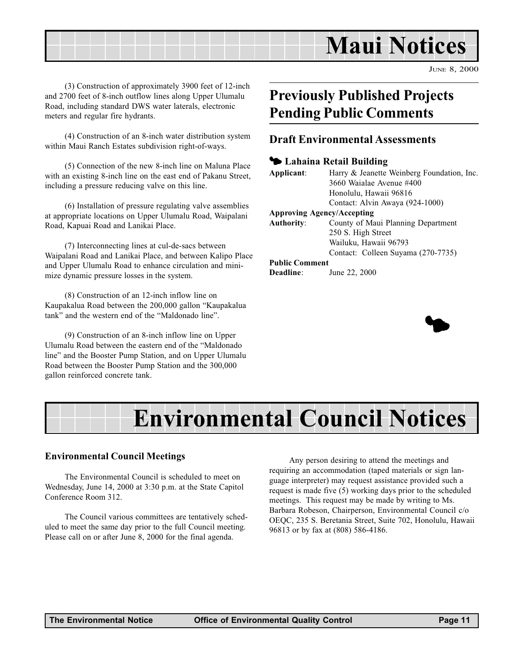## Maui Notices

JUNE 8, 2000

(3) Construction of approximately 3900 feet of 12-inch and 2700 feet of 8-inch outflow lines along Upper Ulumalu Road, including standard DWS water laterals, electronic meters and regular fire hydrants.

(4) Construction of an 8-inch water distribution system within Maui Ranch Estates subdivision right-of-ways.

(5) Connection of the new 8-inch line on Maluna Place with an existing 8-inch line on the east end of Pakanu Street, including a pressure reducing valve on this line.

(6) Installation of pressure regulating valve assemblies at appropriate locations on Upper Ulumalu Road, Waipalani Road, Kapuai Road and Lanikai Place.

(7) Interconnecting lines at cul-de-sacs between Waipalani Road and Lanikai Place, and between Kalipo Place and Upper Ulumalu Road to enhance circulation and minimize dynamic pressure losses in the system.

(8) Construction of an 12-inch inflow line on Kaupakalua Road between the 200,000 gallon "Kaupakalua tank" and the western end of the "Maldonado line".

(9) Construction of an 8-inch inflow line on Upper Ulumalu Road between the eastern end of the "Maldonado" line" and the Booster Pump Station, and on Upper Ulumalu Road between the Booster Pump Station and the 300,000 gallon reinforced concrete tank.

## Previously Published Projects Pending Public Comments

#### Draft Environmental Assessments

#### <sup>1</sup> Lahaina Retail Building

| Applicant: | Harry & Jeanette Weinberg Foundation, Inc. |
|------------|--------------------------------------------|
|            | 3660 Waialae Avenue #400                   |
|            | Honolulu, Hawaii 96816                     |
|            | Contact: Alvin Awaya (924-1000)            |
|            | Annroving Agency/Accenting                 |

#### Approving Agency/Accepting

| Authority: | County of Maui Planning Department |
|------------|------------------------------------|
|            | 250 S. High Street                 |
|            | Wailuku, Hawaii 96793              |
|            | Contact: Colleen Suyama (270-7735) |

#### Public Comment



## Environmental Council Notices

#### Environmental Council Meetings

The Environmental Council is scheduled to meet on Wednesday, June 14, 2000 at 3:30 p.m. at the State Capitol Conference Room 312.

The Council various committees are tentatively scheduled to meet the same day prior to the full Council meeting. Please call on or after June 8, 2000 for the final agenda.

Any person desiring to attend the meetings and requiring an accommodation (taped materials or sign language interpreter) may request assistance provided such a request is made five (5) working days prior to the scheduled meetings. This request may be made by writing to Ms. Barbara Robeson, Chairperson, Environmental Council c/o OEQC, 235 S. Beretania Street, Suite 702, Honolulu, Hawaii 96813 or by fax at (808) 586-4186.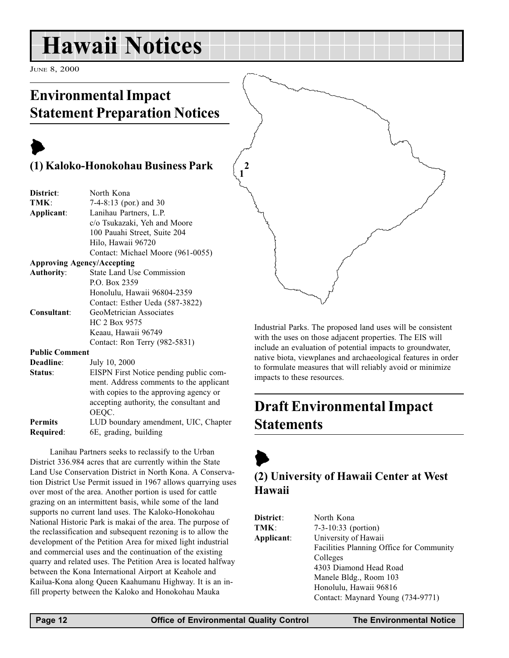## <span id="page-11-0"></span>Hawaii Notices

JUNE 8, 2000

## Environmental Impact Statement Preparation Notices

## $\blacktriangleright$ (1) Kaloko-Honokohau Business Park

| District:             | North Kona                              |
|-----------------------|-----------------------------------------|
| TMK:                  | 7-4-8:13 (por.) and 30                  |
| Applicant:            | Lanihau Partners, L.P.                  |
|                       | c/o Tsukazaki, Yeh and Moore            |
|                       | 100 Pauahi Street, Suite 204            |
|                       | Hilo, Hawaii 96720                      |
|                       | Contact: Michael Moore (961-0055)       |
|                       | <b>Approving Agency/Accepting</b>       |
| <b>Authority:</b>     | <b>State Land Use Commission</b>        |
|                       | P.O. Box 2359                           |
|                       | Honolulu, Hawaii 96804-2359             |
|                       | Contact: Esther Ueda (587-3822)         |
| Consultant:           | GeoMetrician Associates                 |
|                       | HC 2 Box 9575                           |
|                       | Keaau, Hawaii 96749                     |
|                       | Contact: Ron Terry (982-5831)           |
| <b>Public Comment</b> |                                         |
| Deadline:             | July 10, 2000                           |
| Status:               | EISPN First Notice pending public com-  |
|                       | ment. Address comments to the applicant |
|                       | with copies to the approving agency or  |

accepting authority, the consultant and OEQC. Permits LUD boundary amendment, UIC, Chapter Required: 6E, grading, building

Lanihau Partners seeks to reclassify to the Urban District 336.984 acres that are currently within the State Land Use Conservation District in North Kona. A Conservation District Use Permit issued in 1967 allows quarrying uses over most of the area. Another portion is used for cattle grazing on an intermittent basis, while some of the land supports no current land uses. The Kaloko-Honokohau National Historic Park is makai of the area. The purpose of the reclassification and subsequent rezoning is to allow the development of the Petition Area for mixed light industrial and commercial uses and the continuation of the existing quarry and related uses. The Petition Area is located halfway between the Kona International Airport at Keahole and Kailua-Kona along Queen Kaahumanu Highway. It is an infill property between the Kaloko and Honokohau Mauka

Industrial Parks. The proposed land uses will be consistent with the uses on those adjacent properties. The EIS will include an evaluation of potential impacts to groundwater, native biota, viewplanes and archaeological features in order to formulate measures that will reliably avoid or minimize impacts to these resources.

## Draft Environmental Impact Statements

 $\blacktriangleright$ (2) University of Hawaii Center at West Hawaii

| District:  | North Kona                               |
|------------|------------------------------------------|
| TMK:       | $7-3-10:33$ (portion)                    |
| Applicant: | University of Hawaii                     |
|            | Facilities Planning Office for Community |
|            | Colleges                                 |
|            | 4303 Diamond Head Road                   |
|            | Manele Bldg., Room 103                   |
|            | Honolulu, Hawaii 96816                   |
|            | Contact: Maynard Young (734-9771)        |

1 2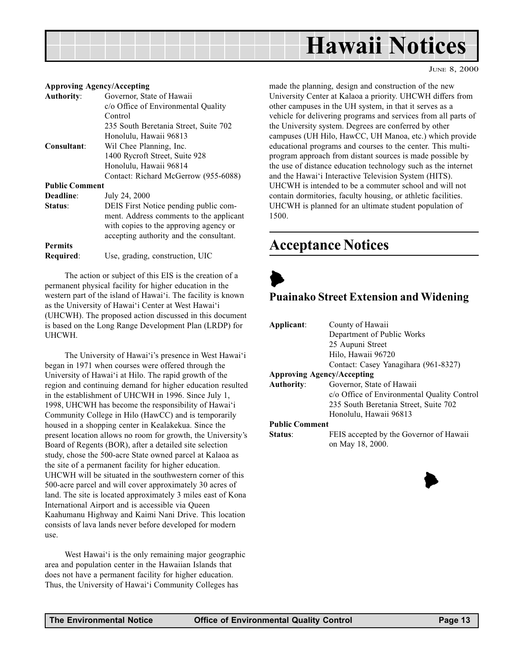<span id="page-12-0"></span>

#### Approving Agency/Accepting

| <b>Authority:</b>     | Governor, State of Hawaii               |
|-----------------------|-----------------------------------------|
|                       | c/o Office of Environmental Quality     |
|                       | Control                                 |
|                       | 235 South Beretania Street, Suite 702   |
|                       | Honolulu, Hawaii 96813                  |
| Consultant:           | Wil Chee Planning, Inc.                 |
|                       | 1400 Rycroft Street, Suite 928          |
|                       | Honolulu, Hawaii 96814                  |
|                       | Contact: Richard McGerrow (955-6088)    |
| <b>Public Comment</b> |                                         |
| Deadline:             | July 24, 2000                           |
| Status:               | DEIS First Notice pending public com-   |
|                       | ment. Address comments to the applicant |
|                       | with copies to the approving agency or  |
|                       | accepting authority and the consultant. |
| <b>Permits</b>        |                                         |
| Required:             | Use, grading, construction, UIC         |

The action or subject of this EIS is the creation of a permanent physical facility for higher education in the western part of the island of Hawai'i. The facility is known as the University of Hawai'i Center at West Hawai'i (UHCWH). The proposed action discussed in this document is based on the Long Range Development Plan (LRDP) for UHCWH.

The University of Hawai'i's presence in West Hawai'i began in 1971 when courses were offered through the University of Hawai'i at Hilo. The rapid growth of the region and continuing demand for higher education resulted in the establishment of UHCWH in 1996. Since July 1, 1998, UHCWH has become the responsibility of Hawai'i Community College in Hilo (HawCC) and is temporarily housed in a shopping center in Kealakekua. Since the present location allows no room for growth, the University's Board of Regents (BOR), after a detailed site selection study, chose the 500-acre State owned parcel at Kalaoa as the site of a permanent facility for higher education. UHCWH will be situated in the southwestern corner of this 500-acre parcel and will cover approximately 30 acres of land. The site is located approximately 3 miles east of Kona International Airport and is accessible via Queen Kaahumanu Highway and Kaimi Nani Drive. This location consists of lava lands never before developed for modern use.

West Hawai'i is the only remaining major geographic area and population center in the Hawaiian Islands that does not have a permanent facility for higher education. Thus, the University of Hawai'i Community Colleges has

made the planning, design and construction of the new University Center at Kalaoa a priority. UHCWH differs from other campuses in the UH system, in that it serves as a vehicle for delivering programs and services from all parts of the University system. Degrees are conferred by other campuses (UH Hilo, HawCC, UH Manoa, etc.) which provide educational programs and courses to the center. This multiprogram approach from distant sources is made possible by the use of distance education technology such as the internet and the Hawai'i Interactive Television System (HITS). UHCWH is intended to be a commuter school and will not contain dormitories, faculty housing, or athletic facilities. UHCWH is planned for an ultimate student population of 1500.

JUNE 8, 2000

## Acceptance Notices

## $\blacktriangleright$

#### Puainako Street Extension and Widening

| Applicant:                        | County of Hawaii                            |  |  |
|-----------------------------------|---------------------------------------------|--|--|
|                                   | Department of Public Works                  |  |  |
|                                   | 25 Aupuni Street                            |  |  |
|                                   | Hilo, Hawaii 96720                          |  |  |
|                                   | Contact: Casey Yanagihara (961-8327)        |  |  |
| <b>Approving Agency/Accepting</b> |                                             |  |  |
| <b>Authority:</b>                 | Governor, State of Hawaii                   |  |  |
|                                   | c/o Office of Environmental Quality Control |  |  |
|                                   | 235 South Beretania Street, Suite 702       |  |  |
|                                   | Honolulu, Hawaii 96813                      |  |  |
| <b>Public Comment</b>             |                                             |  |  |
| Status:                           | FEIS accepted by the Governor of Hawaii     |  |  |
|                                   | on May 18, 2000.                            |  |  |

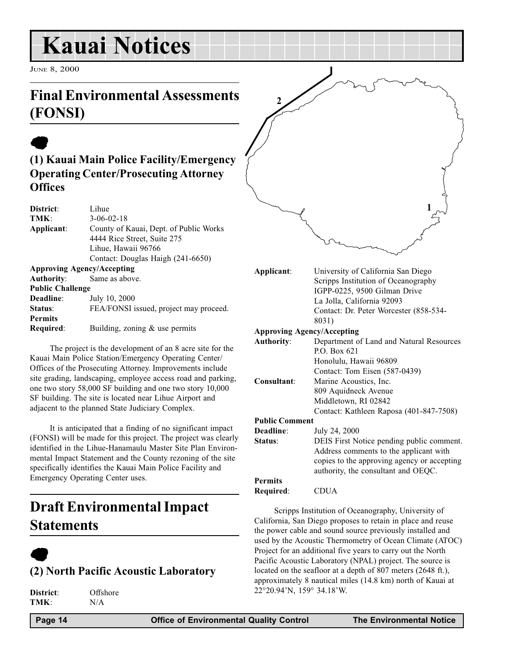## <span id="page-13-0"></span>Kauai Notices

JUNE 8, 2000

## Final Environmental Assessments (FONSI)

## $\bullet$ (1) Kauai Main Police Facility/Emergency Operating Center/Prosecuting Attorney **Offices**

| District:                         | Lihue                                  |
|-----------------------------------|----------------------------------------|
| TMK:                              | $3 - 06 - 02 - 18$                     |
| Applicant:                        | County of Kauai, Dept. of Public Works |
|                                   | 4444 Rice Street, Suite 275            |
|                                   | Lihue, Hawaii 96766                    |
|                                   | Contact: Douglas Haigh (241-6650)      |
| <b>Approving Agency/Accepting</b> |                                        |
| Authority:                        | Same as above.                         |
| <b>Public Challenge</b>           |                                        |
| Deadline:                         | July 10, 2000                          |
| Status:                           | FEA/FONSI issued, project may proceed. |
| <b>Permits</b>                    |                                        |
| Required:                         | Building, zoning $&$ use permits       |

The project is the development of an 8 acre site for the Kauai Main Police Station/Emergency Operating Center/ Offices of the Prosecuting Attorney. Improvements include site grading, landscaping, employee access road and parking, one two story 58,000 SF building and one two story 10,000 SF building. The site is located near Lihue Airport and adjacent to the planned State Judiciary Complex.

It is anticipated that a finding of no significant impact (FONSI) will be made for this project. The project was clearly identified in the Lihue-Hanamaulu Master Site Plan Environmental Impact Statement and the County rezoning of the site specifically identifies the Kauai Main Police Facility and Emergency Operating Center uses.

## Draft Environmental Impact Statements

## $\bullet$ (2) North Pacific Acoustic Laboratory

District: Offshore TMK: N/A

Applicant: University of California San Diego Scripps Institution of Oceanography IGPP-0225, 9500 Gilman Drive La Jolla, California 92093 Contact: Dr. Peter Worcester (858-534- 8031) Approving Agency/Accepting Authority: Department of Land and Natural Resources P.O. Box 621 Honolulu, Hawaii 96809 Contact: Tom Eisen (587-0439) Consultant: Marine Acoustics, Inc. 809 Aquidneck Avenue Middletown, RI 02842 1 2

#### Public Comment

| Deadline:      | July 24, 2000                               |
|----------------|---------------------------------------------|
| Status:        | DEIS First Notice pending public comment.   |
|                | Address comments to the applicant with      |
|                | copies to the approving agency or accepting |
|                | authority, the consultant and OEQC.         |
| <b>Permits</b> |                                             |
| Required:      | CDUA                                        |
|                |                                             |

Contact: Kathleen Raposa (401-847-7508)

Scripps Institution of Oceanography, University of California, San Diego proposes to retain in place and reuse the power cable and sound source previously installed and used by the Acoustic Thermometry of Ocean Climate (ATOC) Project for an additional five years to carry out the North Pacific Acoustic Laboratory (NPAL) project. The source is located on the seafloor at a depth of 807 meters (2648 ft.), approximately 8 nautical miles (14.8 km) north of Kauai at 22°20.94N, 159° 34.18W.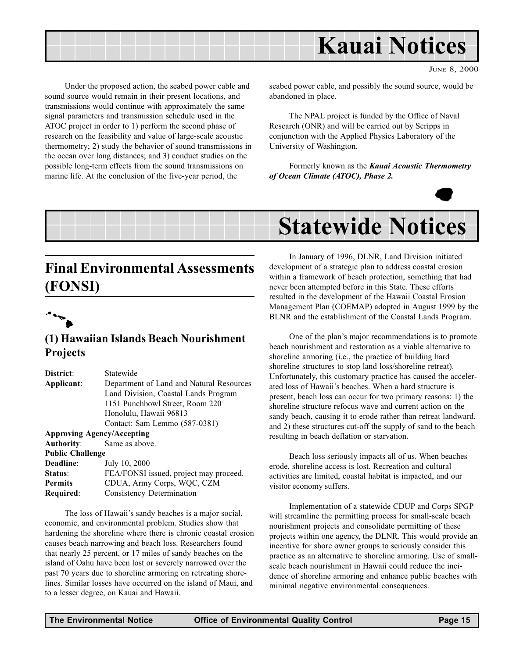<span id="page-14-0"></span>

JUNE 8, 2000

Under the proposed action, the seabed power cable and sound source would remain in their present locations, and transmissions would continue with approximately the same signal parameters and transmission schedule used in the ATOC project in order to 1) perform the second phase of research on the feasibility and value of large-scale acoustic thermometry; 2) study the behavior of sound transmissions in the ocean over long distances; and 3) conduct studies on the possible long-term effects from the sound transmissions on marine life. At the conclusion of the five-year period, the

seabed power cable, and possibly the sound source, would be abandoned in place.

The NPAL project is funded by the Office of Naval Research (ONR) and will be carried out by Scripps in conjunction with the Applied Physics Laboratory of the University of Washington.

Formerly known as the Kauai Acoustic Thermometry of Ocean Climate (ATOC), Phase 2.



## Statewide Notices

## Final Environmental Assessments (FONSI)



### (1) Hawaiian Islands Beach Nourishment **Projects**

| District:               | Statewide                                |  |
|-------------------------|------------------------------------------|--|
| Applicant:              | Department of Land and Natural Resources |  |
|                         | Land Division, Coastal Lands Program     |  |
|                         | 1151 Punchbowl Street, Room 220          |  |
|                         | Honolulu, Hawaii 96813                   |  |
|                         | Contact: Sam Lemmo (587-0381)            |  |
|                         | <b>Approving Agency/Accepting</b>        |  |
| Authority:              | Same as above.                           |  |
| <b>Public Challenge</b> |                                          |  |
| Deadline:               | July 10, 2000                            |  |
| Status:                 | FEA/FONSI issued, project may proceed.   |  |
| <b>Permits</b>          | CDUA, Army Corps, WQC, CZM               |  |
| Required:               | Consistency Determination                |  |

The loss of Hawaii's sandy beaches is a major social, economic, and environmental problem. Studies show that hardening the shoreline where there is chronic coastal erosion causes beach narrowing and beach loss. Researchers found that nearly 25 percent, or 17 miles of sandy beaches on the island of Oahu have been lost or severely narrowed over the past 70 years due to shoreline armoring on retreating shorelines. Similar losses have occurred on the island of Maui, and to a lesser degree, on Kauai and Hawaii.

In January of 1996, DLNR, Land Division initiated development of a strategic plan to address coastal erosion within a framework of beach protection, something that had never been attempted before in this State. These efforts resulted in the development of the Hawaii Coastal Erosion Management Plan (COEMAP) adopted in August 1999 by the BLNR and the establishment of the Coastal Lands Program.

One of the plan's major recommendations is to promote beach nourishment and restoration as a viable alternative to shoreline armoring (i.e., the practice of building hard shoreline structures to stop land loss/shoreline retreat). Unfortunately, this customary practice has caused the accelerated loss of Hawaii's beaches. When a hard structure is present, beach loss can occur for two primary reasons: 1) the shoreline structure refocus wave and current action on the sandy beach, causing it to erode rather than retreat landward, and 2) these structures cut-off the supply of sand to the beach resulting in beach deflation or starvation.

Beach loss seriously impacts all of us. When beaches erode, shoreline access is lost. Recreation and cultural activities are limited, coastal habitat is impacted, and our visitor economy suffers.

Implementation of a statewide CDUP and Corps SPGP will streamline the permitting process for small-scale beach nourishment projects and consolidate permitting of these projects within one agency, the DLNR. This would provide an incentive for shore owner groups to seriously consider this practice as an alternative to shoreline armoring. Use of smallscale beach nourishment in Hawaii could reduce the incidence of shoreline armoring and enhance public beaches with minimal negative environmental consequences.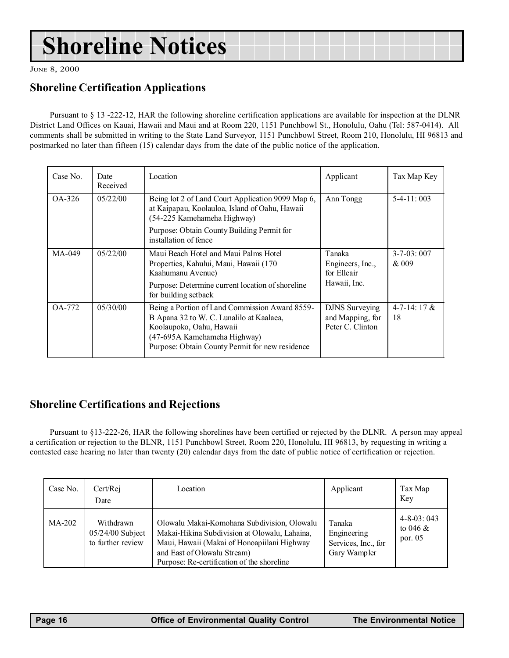## Shoreline Notices

JUNE 8, 2000

## Shoreline Certification Applications

Pursuant to § 13 -222-12, HAR the following shoreline certification applications are available for inspection at the DLNR District Land Offices on Kauai, Hawaii and Maui and at Room 220, 1151 Punchbowl St., Honolulu, Oahu (Tel: 587-0414). All comments shall be submitted in writing to the State Land Surveyor, 1151 Punchbowl Street, Room 210, Honolulu, HI 96813 and postmarked no later than fifteen (15) calendar days from the date of the public notice of the application.

| Case No. | Date<br>Received | Location                                                                                                                                                                                                  | Applicant                                                     | Tax Map Key               |
|----------|------------------|-----------------------------------------------------------------------------------------------------------------------------------------------------------------------------------------------------------|---------------------------------------------------------------|---------------------------|
| OA-326   | 05/22/00         | Being lot 2 of Land Court Application 9099 Map 6,<br>at Kaipapau, Koolauloa, Island of Oahu, Hawaii<br>(54-225 Kamehameha Highway)                                                                        | Ann Tongg                                                     | $5-4-11:003$              |
|          |                  | Purpose: Obtain County Building Permit for<br>installation of fence                                                                                                                                       |                                                               |                           |
| $MA-049$ | 05/22/00         | Maui Beach Hotel and Maui Palms Hotel<br>Properties, Kahului, Maui, Hawaii (170<br>Kaahumanu Avenue)                                                                                                      | Tanaka<br>Engineers, Inc.,<br>for Elleair                     | $3 - 7 - 03:007$<br>& 009 |
|          |                  | Purpose: Determine current location of shoreline<br>for building setback                                                                                                                                  | Hawaii, Inc.                                                  |                           |
| OA-772   | 05/30/00         | Being a Portion of Land Commission Award 8559-<br>B Apana 32 to W. C. Lunalilo at Kaalaea,<br>Koolaupoko, Oahu, Hawaii<br>(47-695A Kamehameha Highway)<br>Purpose: Obtain County Permit for new residence | <b>DJNS</b> Surveying<br>and Mapping, for<br>Peter C. Clinton | $4 - 7 - 14$ : 17 &<br>18 |

## Shoreline Certifications and Rejections

Pursuant to §13-222-26, HAR the following shorelines have been certified or rejected by the DLNR. A person may appeal a certification or rejection to the BLNR, 1151 Punchbowl Street, Room 220, Honolulu, HI 96813, by requesting in writing a contested case hearing no later than twenty (20) calendar days from the date of public notice of certification or rejection.

| Case No. | Cert/Rej<br>Date                                     | Location                                                                                                                                                                                                                 | Applicant                                                    | Tax Map<br>Key                               |
|----------|------------------------------------------------------|--------------------------------------------------------------------------------------------------------------------------------------------------------------------------------------------------------------------------|--------------------------------------------------------------|----------------------------------------------|
| MA-202   | Withdrawn<br>$05/24/00$ Subject<br>to further review | Olowalu Makai-Komohana Subdivision, Olowalu<br>Makai-Hikina Subdivision at Olowalu, Lahaina,<br>Maui, Hawaii (Makai of Honoapiilani Highway<br>and East of Olowalu Stream)<br>Purpose: Re-certification of the shoreline | Tanaka<br>Engineering<br>Services, Inc., for<br>Gary Wampler | $4 - 8 - 03:043$<br>to 046 $\&$<br>por. $05$ |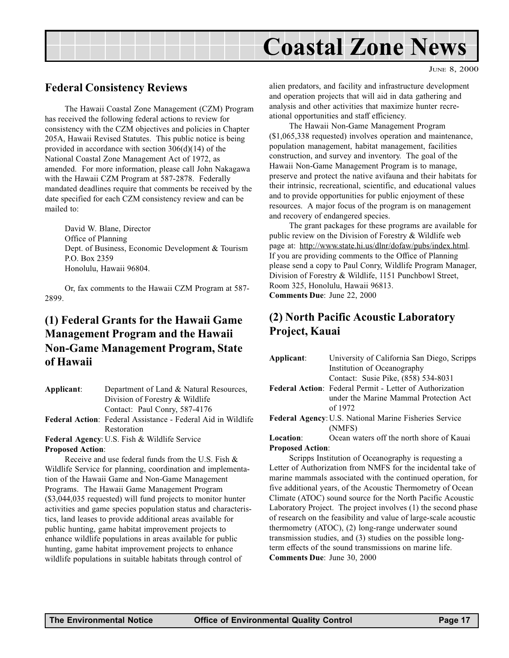## Coastal Zone News

### <span id="page-16-0"></span>Federal Consistency Reviews

The Hawaii Coastal Zone Management (CZM) Program has received the following federal actions to review for consistency with the CZM objectives and policies in Chapter 205A, Hawaii Revised Statutes. This public notice is being provided in accordance with section 306(d)(14) of the National Coastal Zone Management Act of 1972, as amended. For more information, please call John Nakagawa with the Hawaii CZM Program at 587-2878. Federally mandated deadlines require that comments be received by the date specified for each CZM consistency review and can be mailed to:

David W. Blane, Director Office of Planning Dept. of Business, Economic Development & Tourism P.O. Box 2359 Honolulu, Hawaii 96804.

Or, fax comments to the Hawaii CZM Program at 587- 2899.

## (1) Federal Grants for the Hawaii Game Management Program and the Hawaii Non-Game Management Program, State of Hawaii

| Applicant:              | Department of Land & Natural Resources,                                                                                                                                 |  |  |
|-------------------------|-------------------------------------------------------------------------------------------------------------------------------------------------------------------------|--|--|
|                         | Division of Forestry & Wildlife                                                                                                                                         |  |  |
|                         | Contact: Paul Conry, 587-4176                                                                                                                                           |  |  |
|                         | Federal Action: Federal Assistance - Federal Aid in Wildlife                                                                                                            |  |  |
|                         | Restoration                                                                                                                                                             |  |  |
|                         | Federal Agency: U.S. Fish & Wildlife Service                                                                                                                            |  |  |
| <b>Proposed Action:</b> |                                                                                                                                                                         |  |  |
|                         | Receive and use federal funds from the U.S. Fish $\&$                                                                                                                   |  |  |
|                         | Wildlife Service for planning, coordination and implementa-                                                                                                             |  |  |
|                         | $\mathcal{L}$ . $\mathcal{L}$ and $\mathcal{L}$ is the set of $\mathcal{L}$ and $\mathcal{L}$ is the set of $\mathcal{L}$ and $\mathcal{L}$ is the set of $\mathcal{L}$ |  |  |

tion of the Hawaii Game and Non-Game Management Programs. The Hawaii Game Management Program (\$3,044,035 requested) will fund projects to monitor hunter activities and game species population status and characteristics, land leases to provide additional areas available for public hunting, game habitat improvement projects to enhance wildlife populations in areas available for public hunting, game habitat improvement projects to enhance wildlife populations in suitable habitats through control of

JUNE 8, 2000

alien predators, and facility and infrastructure development and operation projects that will aid in data gathering and analysis and other activities that maximize hunter recreational opportunities and staff efficiency.

The Hawaii Non-Game Management Program (\$1,065,338 requested) involves operation and maintenance, population management, habitat management, facilities construction, and survey and inventory. The goal of the Hawaii Non-Game Management Program is to manage, preserve and protect the native avifauna and their habitats for their intrinsic, recreational, scientific, and educational values and to provide opportunities for public enjoyment of these resources. A major focus of the program is on management and recovery of endangered species.

The grant packages for these programs are available for public review on the Division of Forestry & Wildlife web page at: http://www.state.hi.us/dlnr/dofaw/pubs/index.html. If you are providing comments to the Office of Planning please send a copy to Paul Conry, Wildlife Program Manager, Division of Forestry & Wildlife, 1151 Punchbowl Street, Room 325, Honolulu, Hawaii 96813. Comments Due: June 22, 2000

### (2) North Pacific Acoustic Laboratory Project, Kauai

| Applicant:                                                    | University of California San Diego, Scripps                     |  |
|---------------------------------------------------------------|-----------------------------------------------------------------|--|
|                                                               | Institution of Oceanography                                     |  |
|                                                               | Contact: Susie Pike, (858) 534-8031                             |  |
|                                                               | <b>Federal Action:</b> Federal Permit - Letter of Authorization |  |
|                                                               | under the Marine Mammal Protection Act                          |  |
|                                                               | of 1972                                                         |  |
| <b>Federal Agency: U.S. National Marine Fisheries Service</b> |                                                                 |  |
|                                                               | (NMFS)                                                          |  |
| Location:                                                     | Ocean waters off the north shore of Kauai                       |  |
| <b>Proposed Action:</b>                                       |                                                                 |  |
| Compress Institution of Oceanography is requesting a          |                                                                 |  |

Scripps Institution of Oceanography is requesting a Letter of Authorization from NMFS for the incidental take of marine mammals associated with the continued operation, for five additional years, of the Acoustic Thermometry of Ocean Climate (ATOC) sound source for the North Pacific Acoustic Laboratory Project. The project involves (1) the second phase of research on the feasibility and value of large-scale acoustic thermometry (ATOC), (2) long-range underwater sound transmission studies, and (3) studies on the possible longterm effects of the sound transmissions on marine life. Comments Due: June 30, 2000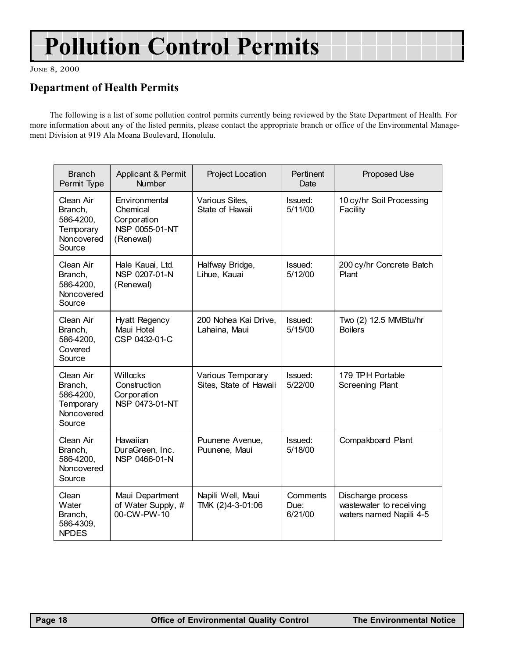## Pollution Control Permits

JUNE 8, 2000

## Department of Health Permits

The following is a list of some pollution control permits currently being reviewed by the State Department of Health. For more information about any of the listed permits, please contact the appropriate branch or office of the Environmental Management Division at 919 Ala Moana Boulevard, Honolulu.

| <b>Branch</b><br>Permit Type                                           | Applicant & Permit<br><b>Number</b>                                     | Project Location                            | Pertinent<br>Date           | Proposed Use                                                            |
|------------------------------------------------------------------------|-------------------------------------------------------------------------|---------------------------------------------|-----------------------------|-------------------------------------------------------------------------|
| Clean Air<br>Branch,<br>586-4200,<br>Temporary<br>Noncovered<br>Source | Environmental<br>Chemical<br>Corporation<br>NSP 0055-01-NT<br>(Renewal) | Various Sites,<br>State of Hawaii           | Issued:<br>5/11/00          | 10 cy/hr Soil Processing<br>Facility                                    |
| Clean Air<br>Branch,<br>586-4200,<br>Noncovered<br>Source              | Hale Kauai, Ltd.<br>NSP 0207-01-N<br>(Renewal)                          | Halfway Bridge,<br>Lihue, Kauai             | Issued:<br>5/12/00          | 200 cy/hr Concrete Batch<br>Plant                                       |
| Clean Air<br>Branch,<br>586-4200,<br>Covered<br>Source                 | Hyatt Regency<br>Maui Hotel<br>CSP 0432-01-C                            | 200 Nohea Kai Drive,<br>Lahaina, Maui       | Issued:<br>5/15/00          | Two (2) 12.5 MMBtu/hr<br><b>Boilers</b>                                 |
| Clean Air<br>Branch,<br>586-4200,<br>Temporary<br>Noncovered<br>Source | Willocks<br>Construction<br>Corporation<br>NSP 0473-01-NT               | Various Temporary<br>Sites, State of Hawaii | Issued:<br>5/22/00          | 179 TPH Portable<br><b>Screening Plant</b>                              |
| Clean Air<br>Branch,<br>586-4200,<br>Noncovered<br>Source              | Hawaiian<br>DuraGreen, Inc.<br>NSP 0466-01-N                            | Puunene Avenue,<br>Puunene, Maui            | Issued:<br>5/18/00          | Compakboard Plant                                                       |
| Clean<br>Water<br>Branch,<br>586-4309,<br><b>NPDES</b>                 | Maui Department<br>of Water Supply, #<br>00-CW-PW-10                    | Napili Well, Maui<br>TMK (2)4-3-01:06       | Comments<br>Due:<br>6/21/00 | Discharge process<br>wastewater to receiving<br>waters named Napili 4-5 |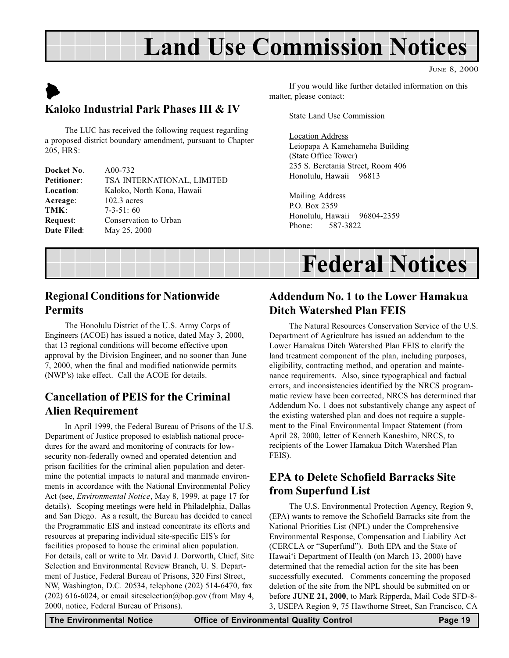## Land Use Commission Notices

JUNE 8, 2000

## <span id="page-18-0"></span> $\blacktriangleright$ Kaloko Industrial Park Phases III & IV

The LUC has received the following request regarding a proposed district boundary amendment, pursuant to Chapter 205, HRS:

| Docket No.         | A00-732                    |
|--------------------|----------------------------|
| <b>Petitioner:</b> | TSA INTERNATIONAL, LIMITED |
| <b>Location:</b>   | Kaloko, North Kona, Hawaii |
| Acreage:           | $102.3$ acres              |
| TMK:               | $7-3-51:60$                |
| <b>Request:</b>    | Conservation to Urban      |
| Date Filed:        | May 25, 2000               |
|                    |                            |

If you would like further detailed information on this matter, please contact:

State Land Use Commission

Location Address Leiopapa A Kamehameha Building (State Office Tower) 235 S. Beretania Street, Room 406 Honolulu, Hawaii 96813

Mailing Address P.O. Box 2359 Honolulu, Hawaii 96804-2359 Phone: 587-3822

## Federal Notices

## Regional Conditions for Nationwide Permits

The Honolulu District of the U.S. Army Corps of Engineers (ACOE) has issued a notice, dated May 3, 2000, that 13 regional conditions will become effective upon approval by the Division Engineer, and no sooner than June 7, 2000, when the final and modified nationwide permits (NWP's) take effect. Call the ACOE for details.

## Cancellation of PEIS for the Criminal Alien Requirement

In April 1999, the Federal Bureau of Prisons of the U.S. Department of Justice proposed to establish national procedures for the award and monitoring of contracts for lowsecurity non-federally owned and operated detention and prison facilities for the criminal alien population and determine the potential impacts to natural and manmade environments in accordance with the National Environmental Policy Act (see, Environmental Notice, May 8, 1999, at page 17 for details). Scoping meetings were held in Philadelphia, Dallas and San Diego. As a result, the Bureau has decided to cancel the Programmatic EIS and instead concentrate its efforts and resources at preparing individual site-specific EIS's for facilities proposed to house the criminal alien population. For details, call or write to Mr. David J. Dorworth, Chief, Site Selection and Environmental Review Branch, U. S. Department of Justice, Federal Bureau of Prisons, 320 First Street, NW, Washington, D.C. 20534, telephone (202) 514-6470, fax (202) 616-6024, or email <u>siteselection@bop.gov</u> (from May 4, 2000, notice, Federal Bureau of Prisons).

## Addendum No. 1 to the Lower Hamakua Ditch Watershed Plan FEIS

The Natural Resources Conservation Service of the U.S. Department of Agriculture has issued an addendum to the Lower Hamakua Ditch Watershed Plan FEIS to clarify the land treatment component of the plan, including purposes, eligibility, contracting method, and operation and maintenance requirements. Also, since typographical and factual errors, and inconsistencies identified by the NRCS programmatic review have been corrected, NRCS has determined that Addendum No. 1 does not substantively change any aspect of the existing watershed plan and does not require a supplement to the Final Environmental Impact Statement (from April 28, 2000, letter of Kenneth Kaneshiro, NRCS, to recipients of the Lower Hamakua Ditch Watershed Plan FEIS).

## EPA to Delete Schofield Barracks Site from Superfund List

The U.S. Environmental Protection Agency, Region 9, (EPA) wants to remove the Schofield Barracks site from the National Priorities List (NPL) under the Comprehensive Environmental Response, Compensation and Liability Act (CERCLA or "Superfund"). Both EPA and the State of Hawai'i Department of Health (on March 13, 2000) have determined that the remedial action for the site has been successfully executed. Comments concerning the proposed deletion of the site from the NPL should be submitted on or before JUNE 21, 2000, to Mark Ripperda, Mail Code SFD-8- 3, USEPA Region 9, 75 Hawthorne Street, San Francisco, CA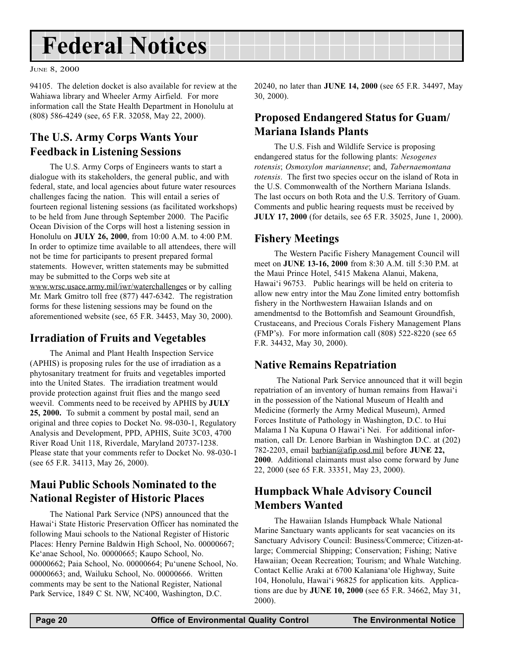## <span id="page-19-0"></span>Federal Notices

JUNE 8, 2000

94105. The deletion docket is also available for review at the Wahiawa library and Wheeler Army Airfield. For more information call the State Health Department in Honolulu at (808) 586-4249 (see, 65 F.R. 32058, May 22, 2000).

## The U.S. Army Corps Wants Your Feedback in Listening Sessions

The U.S. Army Corps of Engineers wants to start a dialogue with its stakeholders, the general public, and with federal, state, and local agencies about future water resources challenges facing the nation. This will entail a series of fourteen regional listening sessions (as facilitated workshops) to be held from June through September 2000. The Pacific Ocean Division of the Corps will host a listening session in Honolulu on JULY 26, 2000, from 10:00 A.M. to 4:00 P.M. In order to optimize time available to all attendees, there will not be time for participants to present prepared formal statements. However, written statements may be submitted may be submitted to the Corps web site at www.wrsc.usace.army.mil/iwr/waterchallenges or by calling Mr. Mark Gmitro toll free (877) 447-6342. The registration forms for these listening sessions may be found on the

aforementioned website (see, 65 F.R. 34453, May 30, 2000).

### Irradiation of Fruits and Vegetables

The Animal and Plant Health Inspection Service (APHIS) is proposing rules for the use of irradiation as a phytosanitary treatment for fruits and vegetables imported into the United States. The irradiation treatment would provide protection against fruit flies and the mango seed weevil. Comments need to be received by APHIS by JULY 25, 2000. To submit a comment by postal mail, send an original and three copies to Docket No. 98-030-1, Regulatory Analysis and Development, PPD, APHIS, Suite 3C03, 4700 River Road Unit 118, Riverdale, Maryland 20737-1238. Please state that your comments refer to Docket No. 98-030-1 (see 65 F.R. 34113, May 26, 2000).

## Maui Public Schools Nominated to the National Register of Historic Places

The National Park Service (NPS) announced that the Hawai'i State Historic Preservation Officer has nominated the following Maui schools to the National Register of Historic Places: Henry Pernine Baldwin High School, No. 00000667; Ke'anae School, No. 00000665; Kaupo School, No. 00000662; Paia School, No. 00000664; Pu'unene School, No. 00000663; and, Wailuku School, No. 00000666. Written comments may be sent to the National Register, National Park Service, 1849 C St. NW, NC400, Washington, D.C.

20240, no later than JUNE 14, 2000 (see 65 F.R. 34497, May 30, 2000).

## Proposed Endangered Status for Guam/ Mariana Islands Plants

The U.S. Fish and Wildlife Service is proposing endangered status for the following plants: Nesogenes rotensis; Osmoxylon mariannense; and, Tabernaemontana rotensis. The first two species occur on the island of Rota in the U.S. Commonwealth of the Northern Mariana Islands. The last occurs on both Rota and the U.S. Territory of Guam. Comments and public hearing requests must be received by JULY 17, 2000 (for details, see 65 F.R. 35025, June 1, 2000).

## Fishery Meetings

The Western Pacific Fishery Management Council will meet on JUNE 13-16, 2000 from 8:30 A.M. till 5:30 P.M. at the Maui Prince Hotel, 5415 Makena Alanui, Makena, Hawai'i 96753. Public hearings will be held on criteria to allow new entry intor the Mau Zone limited entry bottomfish fishery in the Northwestern Hawaiian Islands and on amendmentsd to the Bottomfish and Seamount Groundfish, Crustaceans, and Precious Corals Fishery Management Plans  $(FMP's)$ . For more information call  $(808)$  522-8220 (see 65) F.R. 34432, May 30, 2000).

### Native Remains Repatriation

 The National Park Service announced that it will begin repatriation of an inventory of human remains from Hawai'i in the possession of the National Museum of Health and Medicine (formerly the Army Medical Museum), Armed Forces Institute of Pathology in Washington, D.C. to Hui Malama I Na Kupuna O Hawai'i Nei. For additional information, call Dr. Lenore Barbian in Washington D.C. at (202) 782-2203, email barbian@afip.osd.mil before JUNE 22, 2000. Additional claimants must also come forward by June 22, 2000 (see 65 F.R. 33351, May 23, 2000).

### Humpback Whale Advisory Council Members Wanted

The Hawaiian Islands Humpback Whale National Marine Sanctuary wants applicants for seat vacancies on its Sanctuary Advisory Council: Business/Commerce; Citizen-atlarge; Commercial Shipping; Conservation; Fishing; Native Hawaiian; Ocean Recreation; Tourism; and Whale Watching. Contact Kellie Araki at 6700 Kalaniana'ole Highway, Suite 104, Honolulu, Hawai'i 96825 for application kits. Applications are due by JUNE 10, 2000 (see 65 F.R. 34662, May 31, 2000).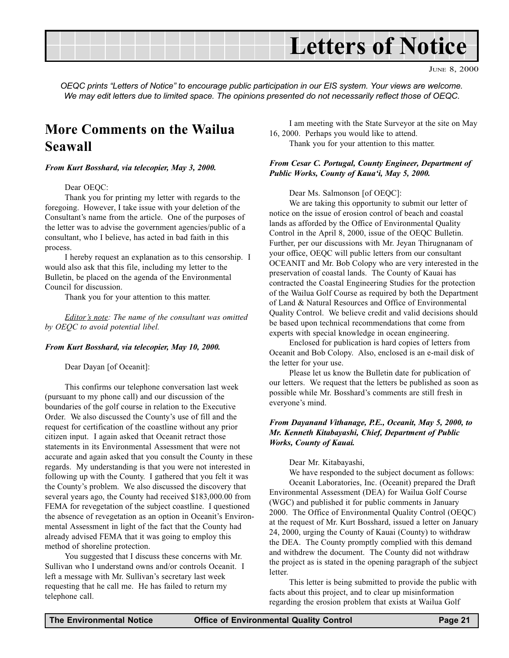

JUNE 8, 2000

OEQC prints "Letters of Notice" to encourage public participation in our EIS system. Your views are welcome. We may edit letters due to limited space. The opinions presented do not necessarily reflect those of OEQC.

## More Comments on the Wailua Seawall

From Kurt Bosshard, via telecopier, May 3, 2000.

#### Dear OEOC:

Thank you for printing my letter with regards to the foregoing. However, I take issue with your deletion of the Consultant's name from the article. One of the purposes of the letter was to advise the government agencies/public of a consultant, who I believe, has acted in bad faith in this process.

I hereby request an explanation as to this censorship. I would also ask that this file, including my letter to the Bulletin, be placed on the agenda of the Environmental Council for discussion.

Thank you for your attention to this matter.

Editor's note: The name of the consultant was omitted by OEQC to avoid potential libel.

#### From Kurt Bosshard, via telecopier, May 10, 2000.

Dear Dayan [of Oceanit]:

This confirms our telephone conversation last week (pursuant to my phone call) and our discussion of the boundaries of the golf course in relation to the Executive Order. We also discussed the County's use of fill and the request for certification of the coastline without any prior citizen input. I again asked that Oceanit retract those statements in its Environmental Assessment that were not accurate and again asked that you consult the County in these regards. My understanding is that you were not interested in following up with the County. I gathered that you felt it was the County's problem. We also discussed the discovery that several years ago, the County had received \$183,000.00 from FEMA for revegetation of the subject coastline. I questioned the absence of revegetation as an option in Oceanit's Environmental Assessment in light of the fact that the County had already advised FEMA that it was going to employ this method of shoreline protection.

You suggested that I discuss these concerns with Mr. Sullivan who I understand owns and/or controls Oceanit. I left a message with Mr. Sullivan's secretary last week requesting that he call me. He has failed to return my telephone call.

I am meeting with the State Surveyor at the site on May 16, 2000. Perhaps you would like to attend.

Thank you for your attention to this matter.

#### From Cesar C. Portugal, County Engineer, Department of Public Works, County of Kaua'i, May 5, 2000.

Dear Ms. Salmonson [of OEQC]:

We are taking this opportunity to submit our letter of notice on the issue of erosion control of beach and coastal lands as afforded by the Office of Environmental Quality Control in the April 8, 2000, issue of the OEQC Bulletin. Further, per our discussions with Mr. Jeyan Thirugnanam of your office, OEQC will public letters from our consultant OCEANIT and Mr. Bob Colopy who are very interested in the preservation of coastal lands. The County of Kauai has contracted the Coastal Engineering Studies for the protection of the Wailua Golf Course as required by both the Department of Land & Natural Resources and Office of Environmental Quality Control. We believe credit and valid decisions should be based upon technical recommendations that come from experts with special knowledge in ocean engineering.

Enclosed for publication is hard copies of letters from Oceanit and Bob Colopy. Also, enclosed is an e-mail disk of the letter for your use.

Please let us know the Bulletin date for publication of our letters. We request that the letters be published as soon as possible while Mr. Bosshard's comments are still fresh in everyone's mind.

#### From Dayanand Vithanage, P.E., Oceanit, May 5, 2000, to Mr. Kenneth Kitabayashi, Chief, Department of Public Works, County of Kauai.

Dear Mr. Kitabayashi,

We have responded to the subject document as follows:

Oceanit Laboratories, Inc. (Oceanit) prepared the Draft Environmental Assessment (DEA) for Wailua Golf Course (WGC) and published it for public comments in January 2000. The Office of Environmental Quality Control (OEQC) at the request of Mr. Kurt Bosshard, issued a letter on January 24, 2000, urging the County of Kauai (County) to withdraw the DEA. The County promptly complied with this demand and withdrew the document. The County did not withdraw the project as is stated in the opening paragraph of the subject letter.

This letter is being submitted to provide the public with facts about this project, and to clear up misinformation regarding the erosion problem that exists at Wailua Golf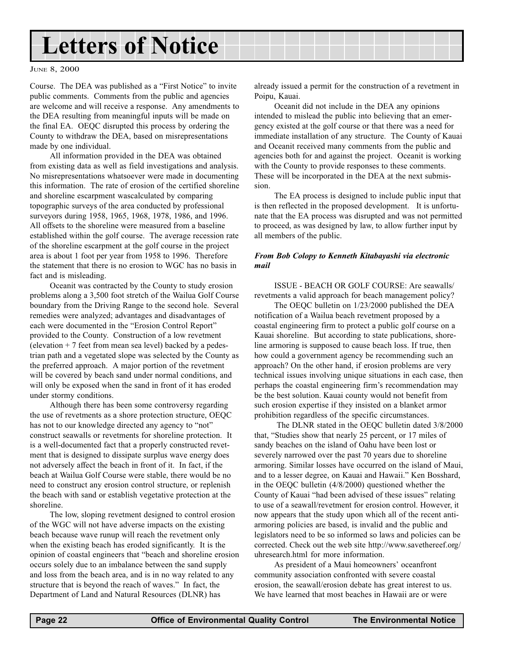## Letters of Notice

#### JUNE 8, 2000

Course. The DEA was published as a "First Notice" to invite public comments. Comments from the public and agencies are welcome and will receive a response. Any amendments to the DEA resulting from meaningful inputs will be made on the final EA. OEQC disrupted this process by ordering the County to withdraw the DEA, based on misrepresentations made by one individual.

All information provided in the DEA was obtained from existing data as well as field investigations and analysis. No misrepresentations whatsoever were made in documenting this information. The rate of erosion of the certified shoreline and shoreline escarpment wascalculated by comparing topographic surveys of the area conducted by professional surveyors during 1958, 1965, 1968, 1978, 1986, and 1996. All offsets to the shoreline were measured from a baseline established within the golf course. The average recession rate of the shoreline escarpment at the golf course in the project area is about 1 foot per year from 1958 to 1996. Therefore the statement that there is no erosion to WGC has no basis in fact and is misleading.

Oceanit was contracted by the County to study erosion problems along a 3,500 foot stretch of the Wailua Golf Course boundary from the Driving Range to the second hole. Several remedies were analyzed; advantages and disadvantages of each were documented in the "Erosion Control Report" provided to the County. Construction of a low revetment (elevation  $+7$  feet from mean sea level) backed by a pedestrian path and a vegetated slope was selected by the County as the preferred approach. A major portion of the revetment will be covered by beach sand under normal conditions, and will only be exposed when the sand in front of it has eroded under stormy conditions.

Although there has been some controversy regarding the use of revetments as a shore protection structure, OEQC has not to our knowledge directed any agency to "not" construct seawalls or revetments for shoreline protection. It is a well-documented fact that a properly constructed revetment that is designed to dissipate surplus wave energy does not adversely affect the beach in front of it. In fact, if the beach at Wailua Golf Course were stable, there would be no need to construct any erosion control structure, or replenish the beach with sand or establish vegetative protection at the shoreline.

The low, sloping revetment designed to control erosion of the WGC will not have adverse impacts on the existing beach because wave runup will reach the revetment only when the existing beach has eroded significantly. It is the opinion of coastal engineers that "beach and shoreline erosion occurs solely due to an imbalance between the sand supply and loss from the beach area, and is in no way related to any structure that is beyond the reach of waves." In fact, the Department of Land and Natural Resources (DLNR) has

already issued a permit for the construction of a revetment in Poipu, Kauai.

Oceanit did not include in the DEA any opinions intended to mislead the public into believing that an emergency existed at the golf course or that there was a need for immediate installation of any structure. The County of Kauai and Oceanit received many comments from the public and agencies both for and against the project. Oceanit is working with the County to provide responses to these comments. These will be incorporated in the DEA at the next submission.

The EA process is designed to include public input that is then reflected in the proposed development. It is unfortunate that the EA process was disrupted and was not permitted to proceed, as was designed by law, to allow further input by all members of the public.

#### From Bob Colopy to Kenneth Kitabayashi via electronic mail

ISSUE - BEACH OR GOLF COURSE: Are seawalls/ revetments a valid approach for beach management policy?

The OEQC bulletin on 1/23/2000 published the DEA notification of a Wailua beach revetment proposed by a coastal engineering firm to protect a public golf course on a Kauai shoreline. But according to state publications, shoreline armoring is supposed to cause beach loss. If true, then how could a government agency be recommending such an approach? On the other hand, if erosion problems are very technical issues involving unique situations in each case, then perhaps the coastal engineering firm's recommendation may be the best solution. Kauai county would not benefit from such erosion expertise if they insisted on a blanket armor prohibition regardless of the specific circumstances.

 The DLNR stated in the OEQC bulletin dated 3/8/2000 that, "Studies show that nearly 25 percent, or 17 miles of sandy beaches on the island of Oahu have been lost or severely narrowed over the past 70 years due to shoreline armoring. Similar losses have occurred on the island of Maui, and to a lesser degree, on Kauai and Hawaii." Ken Bosshard, in the OEQC bulletin (4/8/2000) questioned whether the County of Kauai "had been advised of these issues" relating to use of a seawall/revetment for erosion control. However, it now appears that the study upon which all of the recent antiarmoring policies are based, is invalid and the public and legislators need to be so informed so laws and policies can be corrected. Check out the web site http://www.savethereef.org/ uhresearch.html for more information.

As president of a Maui homeowners' oceanfront community association confronted with severe coastal erosion, the seawall/erosion debate has great interest to us. We have learned that most beaches in Hawaii are or were